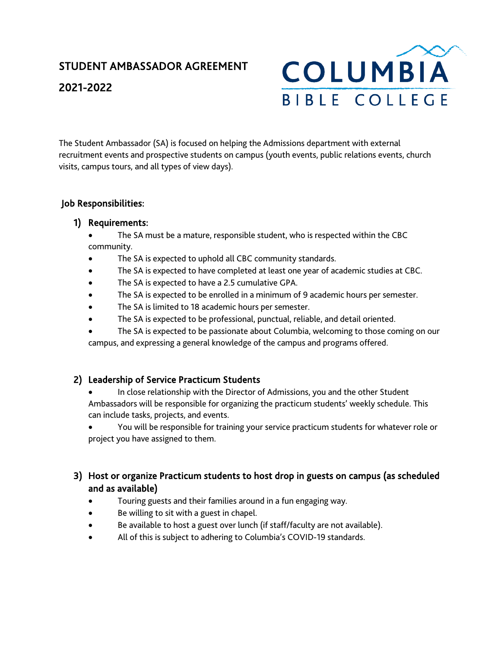# STUDENT AMBASSADOR AGREEMENT 2021-2022



The Student Ambassador (SA) is focused on helping the Admissions department with external recruitment events and prospective students on campus (youth events, public relations events, church visits, campus tours, and all types of view days).

## Job Responsibilities:

#### 1) Requirements:

- The SA must be a mature, responsible student, who is respected within the CBC community.
- The SA is expected to uphold all CBC community standards.
- The SA is expected to have completed at least one year of academic studies at CBC.
- The SA is expected to have a 2.5 cumulative GPA.
- The SA is expected to be enrolled in a minimum of 9 academic hours per semester.
- The SA is limited to 18 academic hours per semester.
- The SA is expected to be professional, punctual, reliable, and detail oriented.
- The SA is expected to be passionate about Columbia, welcoming to those coming on our campus, and expressing a general knowledge of the campus and programs offered.

#### 2) Leadership of Service Practicum Students

- In close relationship with the Director of Admissions, you and the other Student Ambassadors will be responsible for organizing the practicum students' weekly schedule. This can include tasks, projects, and events.
- You will be responsible for training your service practicum students for whatever role or project you have assigned to them.

## 3) Host or organize Practicum students to host drop in guests on campus (as scheduled and as available)

- Touring guests and their families around in a fun engaging way.
- Be willing to sit with a guest in chapel.
- Be available to host a guest over lunch (if staff/faculty are not available).
- All of this is subject to adhering to Columbia's COVID-19 standards.